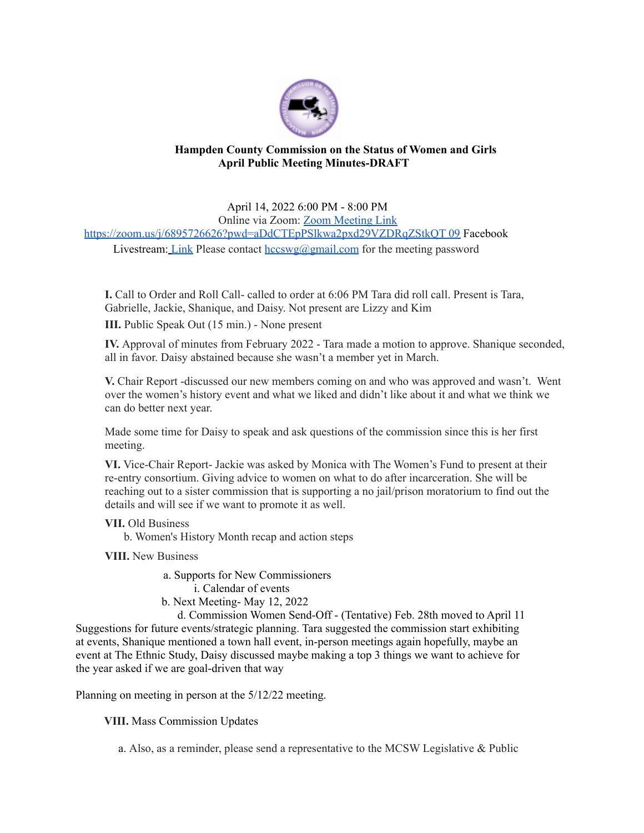

## **Hampden County Commission on the Status of Women and Girls April Public Meeting Minutes-DRAFT**

April 14, 2022 6:00 PM - 8:00 PM Online via Zoom: Zoom Meeting Link https://zoom.us/j/6895726626?pwd=aDdCTEpPSlkwa2pxd29VZDRqZStkQT 09 Facebook Livestream: Link Please contact  $hccswg(\partial gmail.com)$  for the meeting password

**I.** Call to Order and Roll Call- called to order at 6:06 PM Tara did roll call. Present is Tara, Gabrielle, Jackie, Shanique, and Daisy. Not present are Lizzy and Kim

**III.** Public Speak Out (15 min.) - None present

**IV.** Approval of minutes from February 2022 - Tara made a motion to approve. Shanique seconded, all in favor. Daisy abstained because she wasn't a member yet in March.

**V.** Chair Report -discussed our new members coming on and who was approved and wasn't. Went over the women's history event and what we liked and didn't like about it and what we think we can do better next year.

Made some time for Daisy to speak and ask questions of the commission since this is her first meeting.

**VI.** Vice-Chair Report- Jackie was asked by Monica with The Women's Fund to present at their re-entry consortium. Giving advice to women on what to do after incarceration. She will be reaching out to a sister commission that is supporting a no jail/prison moratorium to find out the details and will see if we want to promote it as well.

## **VII.** Old Business

b. Women's History Month recap and action steps

**VIII.** New Business

a. Supports for New Commissioners i. Calendar of events

b. Next Meeting- May 12, 2022

d. Commission Women Send-Off - (Tentative) Feb. 28th moved to April 11 Suggestions for future events/strategic planning. Tara suggested the commission start exhibiting at events, Shanique mentioned a town hall event, in-person meetings again hopefully, maybe an event at The Ethnic Study, Daisy discussed maybe making a top 3 things we want to achieve for the year asked if we are goal-driven that way

Planning on meeting in person at the 5/12/22 meeting.

**VIII.** Mass Commission Updates

a. Also, as a reminder, please send a representative to the MCSW Legislative & Public